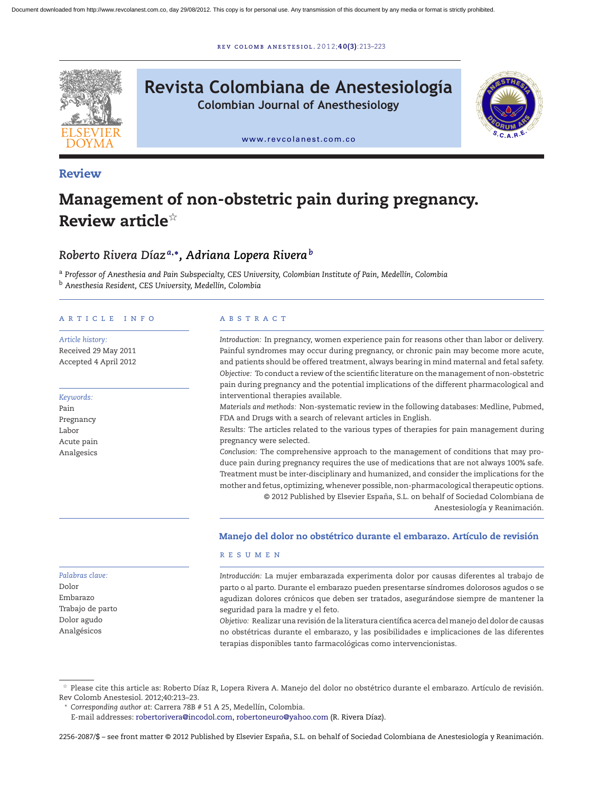r ev [colomb](dx.doi.org/10.1016/j.rcae.2012.05.005) ane s t e s iol . 2 0 1 2;**40(3)**:213–223



# **Revista Colombiana de Anestesiología**

**Colombian Journal of Anesthesiology**



[www.revcolanest.com.co](http://www.revcolanest.com.co)

#### **Review**

## **Management of non-obstetric pain during pregnancy. Review article**-

### *Roberto Rivera Díaz <sup>a</sup>***,∗***, Adriana Lopera Rivera<sup>b</sup>*

<sup>a</sup> *Professor of Anesthesia and Pain Subspecialty, CES University, Colombian Institute of Pain, Medellín, Colombia* <sup>b</sup> *Anesthesia Resident, CES University, Medellín, Colombia*

#### a r t i c l e i n f o

#### *Article history:*

Received 29 May 2011 Accepted 4 April 2012

#### *Keywords:*

Pain Pregnancy Labor Acute pain Analgesics

#### a b s t r a c t

*Introduction:* In pregnancy, women experience pain for reasons other than labor or delivery. Painful syndromes may occur during pregnancy, or chronic pain may become more acute, and patients should be offered treatment, always bearing in mind maternal and fetal safety. *Objective:* To conduct a review ofthe scientific literature on the management of non-obstetric pain during pregnancy and the potential implications of the different pharmacological and interventional therapies available.

*Materials and methods:* Non-systematic review in the following databases: Medline, Pubmed, FDA and Drugs with a search of relevant articles in English.

*Results:* The articles related to the various types of therapies for pain management during pregnancy were selected.

*Conclusion:* The comprehensive approach to the management of conditions that may produce pain during pregnancy requires the use of medications that are not always 100% safe. Treatment must be inter-disciplinary and humanized, and consider the implications for the mother and fetus, optimizing, whenever possible, non-pharmacological therapeutic options.

© 2012 Published by Elsevier España, S.L. on behalf of Sociedad Colombiana de Anestesiología y Reanimación.

#### **Manejo del dolor no obstétrico durante el embarazo. Artículo de revisión**

#### r e s u m e n

*Introducción:* La mujer embarazada experimenta dolor por causas diferentes al trabajo de parto o al parto. Durante el embarazo pueden presentarse síndromes dolorosos agudos o se agudizan dolores crónicos que deben ser tratados, asegurándose siempre de mantener la seguridad para la madre y el feto.

*Objetivo:* Realizar una revisión de la literatura científica acerca del manejo del dolor de causas no obstétricas durante el embarazo, y las posibilidades e implicaciones de las diferentes terapias disponibles tanto farmacológicas como intervencionistas.

<sup>∗</sup> *Corresponding author at*: Carrera 78B # 51 A 25, Medellín, Colombia.

2256-2087/\$ – see front matter © 2012 Published by Elsevier España, S.L. on behalf of Sociedad Colombiana de Anestesiología y Reanimación.

#### *Palabras clave:* Dolor

Embarazo Trabajo de parto Dolor agudo Analgésicos

<sup>-</sup> Please cite this article as: Roberto Díaz R, Lopera Rivera A. Manejo del dolor no obstétrico durante el embarazo. Artículo de revisión. Rev Colomb Anestesiol. 2012;40:213–23.

E-mail addresses: [robertorivera@incodol.com](mailto:robertorivera@incodol.com), [robertoneuro@yahoo.com](mailto:robertoneuro@yahoo.com) (R. Rivera Díaz).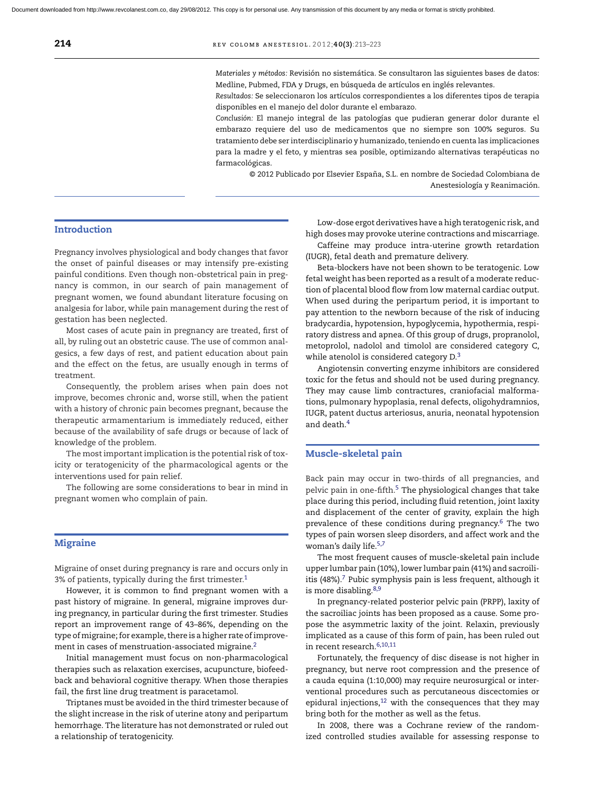*Materiales y métodos:* Revisión no sistemática. Se consultaron las siguientes bases de datos: Medline, Pubmed, FDA y Drugs, en búsqueda de artículos en inglés relevantes.

*Resultados:* Se seleccionaron los artículos correspondientes a los diferentes tipos de terapia disponibles en el manejo del dolor durante el embarazo.

*Conclusión:* El manejo integral de las patologías que pudieran generar dolor durante el embarazo requiere del uso de medicamentos que no siempre son 100% seguros. Su tratamiento debe ser interdisciplinario y humanizado, teniendo en cuenta las implicaciones para la madre y el feto, y mientras sea posible, optimizando alternativas terapéuticas no farmacológicas.

© 2012 Publicado por Elsevier España, S.L. en nombre de Sociedad Colombiana de Anestesiología y Reanimación.

#### **Introduction**

Pregnancy involves physiological and body changes that favor the onset of painful diseases or may intensify pre-existing painful conditions. Even though non-obstetrical pain in pregnancy is common, in our search of pain management of pregnant women, we found abundant literature focusing on analgesia for labor, while pain management during the rest of gestation has been neglected.

Most cases of acute pain in pregnancy are treated, first of all, by ruling out an obstetric cause. The use of common analgesics, a few days of rest, and patient education about pain and the effect on the fetus, are usually enough in terms of treatment.

Consequently, the problem arises when pain does not improve, becomes chronic and, worse still, when the patient with a history of chronic pain becomes pregnant, because the therapeutic armamentarium is immediately reduced, either because of the availability of safe drugs or because of lack of knowledge of the problem.

The most important implication is the potential risk of toxicity or teratogenicity of the pharmacological agents or the interventions used for pain relief.

The following are some considerations to bear in mind in pregnant women who complain of pain.

#### **Migraine**

Migraine of onset during pregnancy is rare and occurs only in 3% of patients, typically during the first trimester.<sup>[1](#page-7-0)</sup>

However, it is common to find pregnant women with a past history of migraine. In general, migraine improves during pregnancy, in particular during the first trimester. Studies report an improvement range of 43–86%, depending on the type of migraine; for example, there is a higher rate of improvement in cases of menstruation-associated migraine.[2](#page-7-0)

Initial management must focus on non-pharmacological therapies such as relaxation exercises, acupuncture, biofeedback and behavioral cognitive therapy. When those therapies fail, the first line drug treatment is paracetamol.

Triptanes must be avoided in the third trimester because of the slight increase in the risk of uterine atony and peripartum hemorrhage. The literature has not demonstrated or ruled out a relationship of teratogenicity.

Low-dose ergot derivatives have a high teratogenic risk, and high doses may provoke uterine contractions and miscarriage.

Caffeine may produce intra-uterine growth retardation (IUGR), fetal death and premature delivery.

Beta-blockers have not been shown to be teratogenic. Low fetal weight has been reported as a result of a moderate reduction of placental blood flow from low maternal cardiac output. When used during the peripartum period, it is important to pay attention to the newborn because of the risk of inducing bradycardia, hypotension, hypoglycemia, hypothermia, respiratory distress and apnea. Of this group of drugs, propranolol, metoprolol, nadolol and timolol are considered category C, while atenolol is considered category  $D<sup>3</sup>$ 

Angiotensin converting enzyme inhibitors are considered toxic for the fetus and should not be used during pregnancy. They may cause limb contractures, craniofacial malformations, pulmonary hypoplasia, renal defects, oligohydramnios, IUGR, patent ductus arteriosus, anuria, neonatal hypotension and death[.4](#page-7-0)

#### **Muscle-skeletal pain**

Back pain may occur in two-thirds of all pregnancies, and pelvic pain in one-fifth.<sup>5</sup> The physiological changes that take place during this period, including fluid retention, joint laxity and displacement of the center of gravity, explain the high prevalence of these conditions during pregnancy.[6](#page-7-0) The two types of pain worsen sleep disorders, and affect work and the woman's daily life.<sup>5,7</sup>

The most frequent causes of muscle-skeletal pain include upper lumbar pain (10%), lower lumbar pain (41%) and sacroili-itis (48%).<sup>[7](#page-7-0)</sup> Pubic symphysis pain is less frequent, although it is more disabling.<sup>8,9</sup>

In pregnancy-related posterior pelvic pain (PRPP), laxity of the sacroiliac joints has been proposed as a cause. Some propose the asymmetric laxity of the joint. Relaxin, previously implicated as a cause of this form of pain, has been ruled out in recent research.[6,10,11](#page-7-0)

Fortunately, the frequency of disc disease is not higher in pregnancy, but nerve root compression and the presence of a cauda equina (1:10,000) may require neurosurgical or interventional procedures such as percutaneous discectomies or epidural injections, $12$  with the consequences that they may bring both for the mother as well as the fetus.

In 2008, there was a Cochrane review of the randomized controlled studies available for assessing response to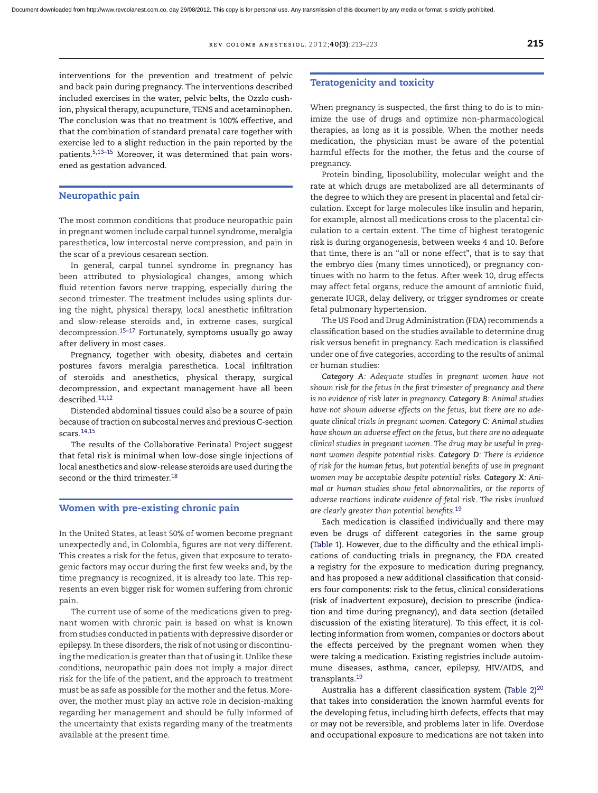interventions for the prevention and treatment of pelvic and back pain during pregnancy. The interventions described included exercises in the water, pelvic belts, the Ozzlo cushion, physical therapy, acupuncture, TENS and acetaminophen. The conclusion was that no treatment is 100% effective, and that the combination of standard prenatal care together with exercise led to a slight reduction in the pain reported by the patients[.5,13–15](#page-7-0) Moreover, it was determined that pain worsened as gestation advanced.

#### **Neuropathic pain**

The most common conditions that produce neuropathic pain in pregnant women include carpal tunnel syndrome, meralgia paresthetica, low intercostal nerve compression, and pain in the scar of a previous cesarean section.

In general, carpal tunnel syndrome in pregnancy has been attributed to physiological changes, among which fluid retention favors nerve trapping, especially during the second trimester. The treatment includes using splints during the night, physical therapy, local anesthetic infiltration and slow-release steroids and, in extreme cases, surgical decompression.<sup>15-17</sup> Fortunately, symptoms usually go away after delivery in most cases.

Pregnancy, together with obesity, diabetes and certain postures favors meralgia paresthetica. Local infiltration of steroids and anesthetics, physical therapy, surgical decompression, and expectant management have all been described.[11,12](#page-7-0)

Distended abdominal tissues could also be a source of pain because of traction on subcostal nerves and previous C-section scars[.14,15](#page-7-0)

The results of the Collaborative Perinatal Project suggest that fetal risk is minimal when low-dose single injections of local anesthetics and slow-release steroids are used during the second or the third trimester.<sup>[18](#page-7-0)</sup>

#### **Women with pre-existing chronic pain**

In the United States, at least 50% of women become pregnant unexpectedly and, in Colombia, figures are not very different. This creates a risk for the fetus, given that exposure to teratogenic factors may occur during the first few weeks and, by the time pregnancy is recognized, it is already too late. This represents an even bigger risk for women suffering from chronic pain.

The current use of some of the medications given to pregnant women with chronic pain is based on what is known from studies conducted in patients with depressive disorder or epilepsy. In these disorders, the risk of not using or discontinuing the medication is greater than that of using it. Unlike these conditions, neuropathic pain does not imply a major direct risk for the life of the patient, and the approach to treatment must be as safe as possible for the mother and the fetus. Moreover, the mother must play an active role in decision-making regarding her management and should be fully informed of the uncertainty that exists regarding many of the treatments available at the present time.

#### **Teratogenicity and toxicity**

When pregnancy is suspected, the first thing to do is to minimize the use of drugs and optimize non-pharmacological therapies, as long as it is possible. When the mother needs medication, the physician must be aware of the potential harmful effects for the mother, the fetus and the course of pregnancy.

Protein binding, liposolubility, molecular weight and the rate at which drugs are metabolized are all determinants of the degree to which they are present in placental and fetal circulation. Except for large molecules like insulin and heparin, for example, almost all medications cross to the placental circulation to a certain extent. The time of highest teratogenic risk is during organogenesis, between weeks 4 and 10. Before that time, there is an "all or none effect", that is to say that the embryo dies (many times unnoticed), or pregnancy continues with no harm to the fetus. After week 10, drug effects may affect fetal organs, reduce the amount of amniotic fluid, generate IUGR, delay delivery, or trigger syndromes or create fetal pulmonary hypertension.

The US Food and Drug Administration (FDA) recommends a classification based on the studies available to determine drug risk versus benefit in pregnancy. Each medication is classified under one of five categories, according to the results of animal or human studies:

*Category A: Adequate studies in pregnant women have not shown risk for the fetus in the first trimester of pregnancy and there is no evidence of risk later in pregnancy. Category B: Animal studies have not shown adverse effects on the fetus, but there are no adequate clinical trials in pregnant women. Category C: Animal studies have shown an adverse effect on the fetus, but there are no adequate clinical studies in pregnant women. The drug may be useful in pregnant women despite potential risks. Category D: There is evidence of risk for the human fetus, but potential benefits of use in pregnant women may be acceptable despite potential risks. Category X: Animal or human studies show fetal abnormalities, or the reports of adverse reactions indicate evidence of fetal risk. The risks involved are clearly greater than potential benefits*. [19](#page-7-0)

Each medication is classified individually and there may even be drugs of different categories in the same group ([Table](#page-3-0) 1). However, due to the difficulty and the ethical implications of conducting trials in pregnancy, the FDA created a registry for the exposure to medication during pregnancy, and has proposed a new additional classification that considers four components: risk to the fetus, clinical considerations (risk of inadvertent exposure), decision to prescribe (indication and time during pregnancy), and data section (detailed discussion of the existing literature). To this effect, it is collecting information from women, companies or doctors about the effects perceived by the pregnant women when they were taking a medication. Existing registries include autoimmune diseases, asthma, cancer, epilepsy, HIV/AIDS, and transplants.<sup>[19](#page-7-0)</sup>

Australia has a different classification system [\(Table](#page-3-0) 2) $^{20}$  $^{20}$  $^{20}$ that takes into consideration the known harmful events for the developing fetus, including birth defects, effects that may or may not be reversible, and problems later in life. Overdose and occupational exposure to medications are not taken into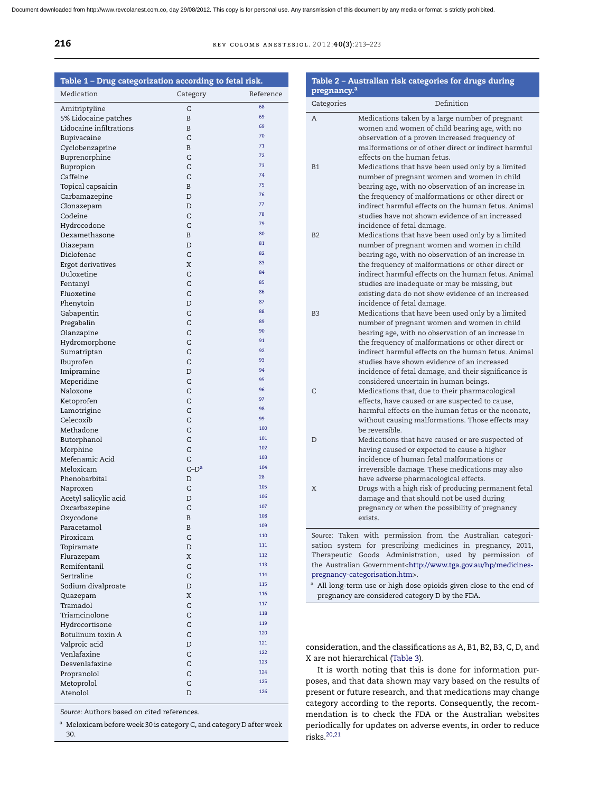#### <span id="page-3-0"></span>**216 REV COLOMB ANESTESIOL. 2012;40(3):213–223**

| Table 1 - Drug categorization according to fetal risk. |          |            |
|--------------------------------------------------------|----------|------------|
| Medication                                             | Category | Reference  |
| Amitriptyline                                          | C        | 68         |
| 5% Lidocaine patches                                   | B        | 69         |
| Lidocaine infiltrations                                | B        | 69         |
| Bupivacaine                                            | C        | 70<br>71   |
| Cyclobenzaprine                                        | B        | 72         |
| Buprenorphine<br>Bupropion                             | C<br>C   | 73         |
| Caffeine                                               | C        | 74         |
| Topical capsaicin                                      | B        | 75         |
| Carbamazepine                                          | D        | 76         |
| Clonazepam                                             | D        | 77         |
| Codeine                                                | C        | 78         |
| Hydrocodone                                            | C        | 79         |
| Dexamethasone                                          | B        | 80         |
| Diazepam                                               | D        | 81         |
| Diclofenac                                             | C        | 82<br>83   |
| Ergot derivatives                                      | X        | 84         |
| Duloxetine<br>Fentanyl                                 | C<br>C   | 85         |
| Fluoxetine                                             | C        | 86         |
| Phenytoin                                              | D        | 87         |
| Gabapentin                                             | C        | 88         |
| Pregabalin                                             | C        | 89         |
| Olanzapine                                             | C        | 90         |
| Hydromorphone                                          | C        | 91         |
| Sumatriptan                                            | C        | 92         |
| Ibuprofen                                              | C        | 93         |
| Imipramine                                             | D        | 94         |
| Meperidine                                             | C        | 95         |
| Naloxone                                               | C        | 96<br>97   |
| Ketoprofen                                             | C<br>C   | 98         |
| Lamotrigine<br>Celecoxib                               | C        | 99         |
| Methadone                                              | C        | 100        |
| Butorphanol                                            | C        | 101        |
| Morphine                                               | C        | 102        |
| Mefenamic Acid                                         | C        | 103        |
| Meloxicam                                              | $C-Da$   | 104        |
| Phenobarbital                                          | D        | 28         |
| Naproxen                                               | C        | 105        |
| Acetyl salicylic acid                                  | D        | 106        |
| Oxcarbazepine                                          | C        | 107        |
| Oxycodone                                              | B        | 108<br>109 |
| Paracetamol                                            | B        | 110        |
| Piroxicam                                              | C<br>D   | 111        |
| Topiramate<br>Flurazepam                               | Х        | 112        |
| Remifentanil                                           | C        | 113        |
| Sertraline                                             | C        | 114        |
| Sodium divalproate                                     | D        | 115        |
| Quazepam                                               | Χ        | 116        |
| Tramadol                                               | C        | 117        |
| Triamcinolone                                          | C        | 118        |
| Hydrocortisone                                         | C        | 119        |
| Botulinum toxin A                                      | C        | 120        |
| Valproic acid                                          | D        | 121        |
| Venlafaxine                                            | C        | 122<br>123 |
| Desvenlafaxine                                         | C        | 124        |
| Propranolol                                            | C<br>C   | 125        |
| Metoprolol<br>Atenolol                                 | D        | 126        |
|                                                        |          |            |

*Source*: Authors based on cited references.

a Meloxicam before week 30 is category C, and category D after week 30.

| pregnancy. <sup>a</sup> | Table 2 - Australian risk categories for drugs during                                                                                                                                                                                                                                                                                                                                                              |
|-------------------------|--------------------------------------------------------------------------------------------------------------------------------------------------------------------------------------------------------------------------------------------------------------------------------------------------------------------------------------------------------------------------------------------------------------------|
| Categories              | Definition                                                                                                                                                                                                                                                                                                                                                                                                         |
| A                       | Medications taken by a large number of pregnant<br>women and women of child bearing age, with no<br>observation of a proven increased frequency of<br>malformations or of other direct or indirect harmful<br>effects on the human fetus.                                                                                                                                                                          |
| <b>B1</b>               | Medications that have been used only by a limited<br>number of pregnant women and women in child<br>bearing age, with no observation of an increase in<br>the frequency of malformations or other direct or<br>indirect harmful effects on the human fetus. Animal<br>studies have not shown evidence of an increased<br>incidence of fetal damage.                                                                |
| B <sub>2</sub>          | Medications that have been used only by a limited<br>number of pregnant women and women in child<br>bearing age, with no observation of an increase in<br>the frequency of malformations or other direct or<br>indirect harmful effects on the human fetus. Animal<br>studies are inadequate or may be missing, but<br>existing data do not show evidence of an increased<br>incidence of fetal damage.            |
| B <sub>3</sub>          | Medications that have been used only by a limited<br>number of pregnant women and women in child<br>bearing age, with no observation of an increase in<br>the frequency of malformations or other direct or<br>indirect harmful effects on the human fetus. Animal<br>studies have shown evidence of an increased<br>incidence of fetal damage, and their significance is<br>considered uncertain in human beings. |
| C                       | Medications that, due to their pharmacological<br>effects, have caused or are suspected to cause,<br>harmful effects on the human fetus or the neonate,<br>without causing malformations. Those effects may<br>be reversible.                                                                                                                                                                                      |
| D                       | Medications that have caused or are suspected of<br>having caused or expected to cause a higher<br>incidence of human fetal malformations or<br>irreversible damage. These medications may also<br>have adverse pharmacological effects.                                                                                                                                                                           |
| Χ                       | Drugs with a high risk of producing permanent fetal<br>damage and that should not be used during<br>pregnancy or when the possibility of pregnancy<br>exists.                                                                                                                                                                                                                                                      |
|                         | Source: Taken with permission from the Australian categori-<br>sation system for prescribing medicines in pregnancy, 2011,                                                                                                                                                                                                                                                                                         |

Therapeutic Goods Administration, used by permission of the Australian Government<[http://www.tga.gov.au/hp/medicines](http://www.tga.gov.au/hp/medicines- pregnancy-categorisation.htm)pregnancy-categorisation.htm>.

<sup>a</sup> All long-term use or high dose opioids given close to the end of pregnancy are considered category D by the FDA.

consideration, and the classifications as A, B1, B2, B3, C, D, and X are not hierarchical [\(Table](#page-4-0) 3).

It is worth noting that this is done for information purposes, and that data shown may vary based on the results of present or future research, and that medications may change category according to the reports. Consequently, the recommendation is to check the FDA or the Australian websites periodically for updates on adverse events, in order to reduce  $r$ isks. $20,21$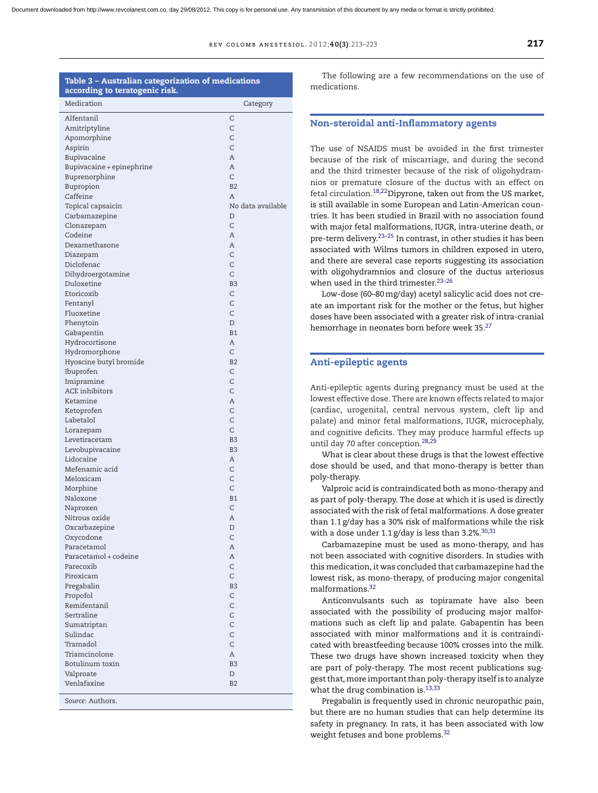#### r ev colomb ane s t e s iol . 2 0 1 2;**40(3)**:213–223 **217**

#### <span id="page-4-0"></span>**Table 3 – Australian categorization of medications according to teratogenic risk.**

| Medication                      | Category          |
|---------------------------------|-------------------|
| Alfentanil                      | C                 |
| Amitriptyline                   | C                 |
| Apomorphine                     | C                 |
| Aspirin                         | C                 |
| Bupivacaine                     | A                 |
| Bupivacaine + epinephrine       | A                 |
| Buprenorphine                   | C                 |
| Bupropion                       | B <sub>2</sub>    |
| Caffeine                        | A                 |
| Topical capsaicin               | No data available |
| Carbamazepine                   | D                 |
| Clonazepam                      | C                 |
| Codeine                         | Α                 |
| Dexamethasone                   | A<br>C            |
| Diazepam                        |                   |
| Diclofenac<br>Dihydroergotamine | C<br>C            |
| Duloxetine                      | B <sub>3</sub>    |
| Etoricoxib                      | C                 |
| Fentanyl                        | C                 |
| Fluoxetine                      | C                 |
| Phenytoin                       | D                 |
| Gabapentin                      | <b>B1</b>         |
| Hydrocortisone                  | Α                 |
| Hydromorphone                   | C                 |
| Hyoscine butyl bromide          | B <sub>2</sub>    |
| Ibuprofen                       | C                 |
| Imipramine                      | C                 |
| <b>ACE</b> inhibitors           | C                 |
| Ketamine                        | A                 |
| Ketoprofen                      | C                 |
| Labetalol                       | C                 |
| Lorazepam                       | C                 |
| Levetiracetam                   | B <sub>3</sub>    |
| Levobupivacaine                 | B <sub>3</sub>    |
| Lidocaine                       | Α                 |
| Mefenamic acid                  | C                 |
| Meloxicam                       | C                 |
| Morphine                        | C                 |
| Naloxone                        | <b>B1</b><br>C    |
| Naproxen<br>Nitrous oxide       | A                 |
| Oxcarbazepine                   | D                 |
| Oxycodone                       | C                 |
| Paracetamol                     | Α                 |
| Paracetamol + codeine           | Α                 |
| Parecoxib                       | C                 |
| Piroxicam                       | C                 |
| Pregabalin                      | B <sub>3</sub>    |
| Propofol                        | C                 |
| Remifentanil                    | C                 |
| Sertraline                      | C                 |
| Sumatriptan                     | C                 |
| Sulindac                        | C                 |
| Tramadol                        | C                 |
| Triamcinolone                   | Α                 |
| Botulinum toxin                 | B <sub>3</sub>    |
| Valproate                       | D                 |
| Venlafaxine                     | B2                |
| Source: Authors.                |                   |
|                                 |                   |

The following are a few recommendations on the use of medications.

#### **Non-steroidal anti-Inflammatory agents**

The use of NSAIDS must be avoided in the first trimester because of the risk of miscarriage, and during the second and the third trimester because of the risk of oligohydramnios or premature closure of the ductus with an effect on fetal circulation.<sup>18,22</sup>Dipyrone, taken out from the US market, is still available in some European and Latin-American countries. It has been studied in Brazil with no association found with major fetal malformations, IUGR, intra-uterine death, or pre-term delivery[.23–25](#page-7-0) In contrast, in other studies it has been associated with Wilms tumors in children exposed in utero, and there are several case reports suggesting its association with oligohydramnios and closure of the ductus arteriosus when used in the third trimester.<sup>23-26</sup>

Low-dose (60–80mg/day) acetyl salicylic acid does not create an important risk for the mother or the fetus, but higher doses have been associated with a greater risk of intra-cranial hemorrhage in neonates born before week 35[.27](#page-7-0)

#### **Anti-epileptic agents**

Anti-epileptic agents during pregnancy must be used at the lowest effective dose. There are known effects related to major (cardiac, urogenital, central nervous system, cleft lip and palate) and minor fetal malformations, IUGR, microcephaly, and cognitive deficits. They may produce harmful effects up until day 70 after conception.<sup>28,29</sup>

What is clear about these drugs is that the lowest effective dose should be used, and that mono-therapy is better than poly-therapy.

Valproic acid is contraindicated both as mono-therapy and as part of poly-therapy. The dose at which it is used is directly associated with the risk of fetal malformations. A dose greater than 1.1 g/day has a 30% risk of malformations while the risk with a dose under 1.1 g/day is less than 3.2%. $^{30,31}$ 

Carbamazepine must be used as mono-therapy, and has not been associated with cognitive disorders. In studies with this medication, it was concluded that carbamazepine had the lowest risk, as mono-therapy, of producing major congenital malformations.[32](#page-7-0)

Anticonvulsants such as topiramate have also been associated with the possibility of producing major malformations such as cleft lip and palate. Gabapentin has been associated with minor malformations and it is contraindicated with breastfeeding because 100% crosses into the milk. These two drugs have shown increased toxicity when they are part of poly-therapy. The most recent publications suggest that, more important than poly-therapy itself is to analyze what the drug combination is.<sup>[13,33](#page-7-0)</sup>

Pregabalin is frequently used in chronic neuropathic pain, but there are no human studies that can help determine its safety in pregnancy. In rats, it has been associated with low weight fetuses and bone problems.<sup>32</sup>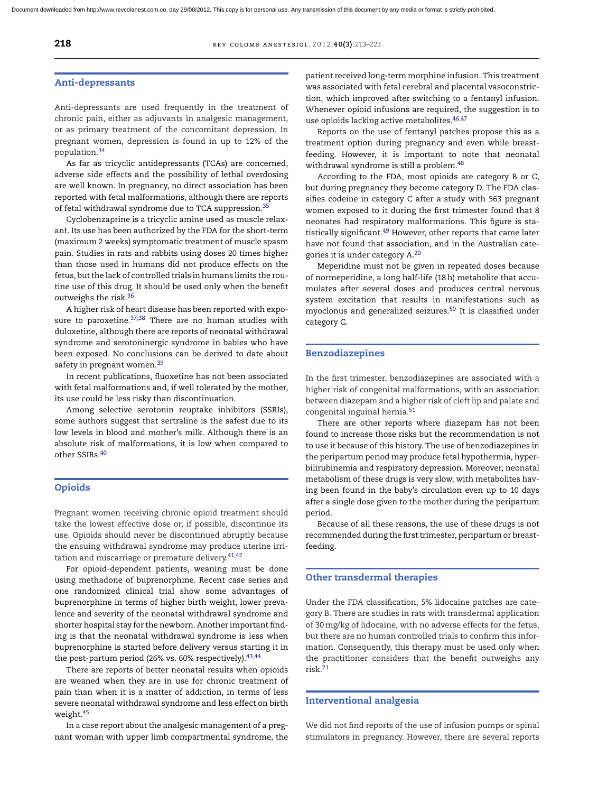#### **Anti-depressants**

Anti-depressants are used frequently in the treatment of chronic pain, either as adjuvants in analgesic management, or as primary treatment of the concomitant depression. In pregnant women, depression is found in up to 12% of the population[.34](#page-7-0)

As far as tricyclic antidepressants (TCAs) are concerned, adverse side effects and the possibility of lethal overdosing are well known. In pregnancy, no direct association has been reported with fetal malformations, although there are reports of fetal withdrawal syndrome due to TCA suppression[.35](#page-7-0)

Cyclobenzaprine is a tricyclic amine used as muscle relaxant. Its use has been authorized by the FDA for the short-term (maximum 2 weeks) symptomatic treatment of muscle spasm pain. Studies in rats and rabbits using doses 20 times higher than those used in humans did not produce effects on the fetus, but the lack of controlled trials in humans limits the routine use of this drug. It should be used only when the benefit outweighs the risk.[36](#page-7-0)

A higher risk of heart disease has been reported with exposure to paroxetine. $37,38$  There are no human studies with duloxetine, although there are reports of neonatal withdrawal syndrome and serotoninergic syndrome in babies who have been exposed. No conclusions can be derived to date about safety in pregnant women.<sup>39</sup>

In recent publications, fluoxetine has not been associated with fetal malformations and, if well tolerated by the mother, its use could be less risky than discontinuation.

Among selective serotonin reuptake inhibitors (SSRIs), some authors suggest that sertraline is the safest due to its low levels in blood and mother's milk. Although there is an absolute risk of malformations, it is low when compared to other SSIRs[.40](#page-7-0)

#### **Opioids**

Pregnant women receiving chronic opioid treatment should take the lowest effective dose or, if possible, discontinue its use. Opioids should never be discontinued abruptly because the ensuing withdrawal syndrome may produce uterine irri-tation and miscarriage or premature delivery.<sup>[41,42](#page-8-0)</sup>

For opioid-dependent patients, weaning must be done using methadone of buprenorphine. Recent case series and one randomized clinical trial show some advantages of buprenorphine in terms of higher birth weight, lower prevalence and severity of the neonatal withdrawal syndrome and shorter hospital stay for the newborn. Another important finding is that the neonatal withdrawal syndrome is less when buprenorphine is started before delivery versus starting it in the post-partum period (26% vs. 60% respectively). [43,44](#page-8-0)

There are reports of better neonatal results when opioids are weaned when they are in use for chronic treatment of pain than when it is a matter of addiction, in terms of less severe neonatal withdrawal syndrome and less effect on birth weight[.45](#page-8-0)

In a case report about the analgesic management of a pregnant woman with upper limb compartmental syndrome, the patient received long-term morphine infusion. This treatment was associated with fetal cerebral and placental vasoconstriction, which improved after switching to a fentanyl infusion. Whenever opioid infusions are required, the suggestion is to use opioids lacking active metabolites.<sup>[46,47](#page-8-0)</sup>

Reports on the use of fentanyl patches propose this as a treatment option during pregnancy and even while breastfeeding. However, it is important to note that neonatal withdrawal syndrome is still a problem.[48](#page-8-0)

According to the FDA, most opioids are category B or C, but during pregnancy they become category D. The FDA classifies codeine in category C after a study with 563 pregnant women exposed to it during the first trimester found that 8 neonates had respiratory malformations. This figure is statistically significant.<sup>49</sup> However, other reports that came later have not found that association, and in the Australian categories it is under category A.[20](#page-7-0)

Meperidine must not be given in repeated doses because of normeperidine, a long half-life (18h) metabolite that accumulates after several doses and produces central nervous system excitation that results in manifestations such as myoclonus and generalized seizures[.50](#page-8-0) It is classified under category C.

#### **Benzodiazepines**

In the first trimester, benzodiazepines are associated with a higher risk of congenital malformations, with an association between diazepam and a higher risk of cleft lip and palate and congenital inguinal hernia[.51](#page-8-0)

There are other reports where diazepam has not been found to increase those risks but the recommendation is not to use it because of this history. The use of benzodiazepines in the peripartum period may produce fetal hypothermia, hyperbilirubinemia and respiratory depression. Moreover, neonatal metabolism of these drugs is very slow, with metabolites having been found in the baby's circulation even up to 10 days after a single dose given to the mother during the peripartum period.

Because of all these reasons, the use of these drugs is not recommended during the first trimester, peripartum or breastfeeding.

#### **Other transdermal therapies**

Under the FDA classification, 5% lidocaine patches are category B. There are studies in rats with transdermal application of 30mg/kg of lidocaine, with no adverse effects for the fetus, but there are no human controlled trials to confirm this information. Consequently, this therapy must be used only when the practitioner considers that the benefit outweighs any risk[.21](#page-7-0)

#### **Interventional analgesia**

We did not find reports of the use of infusion pumps or spinal stimulators in pregnancy. However, there are several reports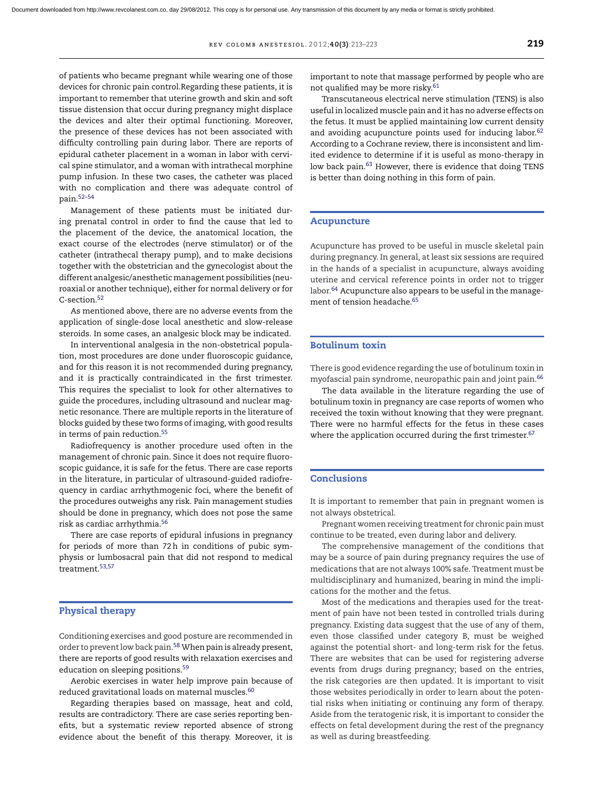of patients who became pregnant while wearing one of those devices for chronic pain control.Regarding these patients, it is important to remember that uterine growth and skin and soft tissue distension that occur during pregnancy might displace the devices and alter their optimal functioning. Moreover, the presence of these devices has not been associated with difficulty controlling pain during labor. There are reports of epidural catheter placement in a woman in labor with cervical spine stimulator, and a woman with intrathecal morphine pump infusion. In these two cases, the catheter was placed with no complication and there was adequate control of pain.[52–54](#page-8-0)

Management of these patients must be initiated during prenatal control in order to find the cause that led to the placement of the device, the anatomical location, the exact course of the electrodes (nerve stimulator) or of the catheter (intrathecal therapy pump), and to make decisions together with the obstetrician and the gynecologist about the different analgesic/anesthetic management possibilities (neuroaxial or another technique), either for normal delivery or for C-section[.52](#page-8-0)

As mentioned above, there are no adverse events from the application of single-dose local anesthetic and slow-release steroids. In some cases, an analgesic block may be indicated.

In interventional analgesia in the non-obstetrical population, most procedures are done under fluoroscopic guidance, and for this reason it is not recommended during pregnancy, and it is practically contraindicated in the first trimester. This requires the specialist to look for other alternatives to guide the procedures, including ultrasound and nuclear magnetic resonance. There are multiple reports in the literature of blocks guided by these two forms of imaging, with good results in terms of pain reduction.<sup>[55](#page-8-0)</sup>

Radiofrequency is another procedure used often in the management of chronic pain. Since it does not require fluoroscopic guidance, it is safe for the fetus. There are case reports in the literature, in particular of ultrasound-guided radiofrequency in cardiac arrhythmogenic foci, where the benefit of the procedures outweighs any risk. Pain management studies should be done in pregnancy, which does not pose the same risk as cardiac arrhythmia.[56](#page-8-0)

There are case reports of epidural infusions in pregnancy for periods of more than 72h in conditions of pubic symphysis or lumbosacral pain that did not respond to medical treatment.[53,57](#page-8-0)

#### **Physical therapy**

Conditioning exercises and good posture are recommended in order to prevent low back pain.<sup>[58](#page-8-0)</sup> When pain is already present, there are reports of good results with relaxation exercises and education on sleeping positions[.59](#page-8-0)

Aerobic exercises in water help improve pain because of reduced gravitational loads on maternal muscles.<sup>60</sup>

Regarding therapies based on massage, heat and cold, results are contradictory. There are case series reporting benefits, but a systematic review reported absence of strong evidence about the benefit of this therapy. Moreover, it is

important to note that massage performed by people who are not qualified may be more risky.<sup>[61](#page-8-0)</sup>

Transcutaneous electrical nerve stimulation (TENS) is also useful in localized muscle pain and it has no adverse effects on the fetus. It must be applied maintaining low current density and avoiding acupuncture points used for inducing labor.<sup>[62](#page-8-0)</sup> According to a Cochrane review, there is inconsistent and limited evidence to determine if it is useful as mono-therapy in low back pain.<sup>[63](#page-8-0)</sup> However, there is evidence that doing TENS is better than doing nothing in this form of pain.

#### **Acupuncture**

Acupuncture has proved to be useful in muscle skeletal pain during pregnancy. In general, at least six sessions are required in the hands of a specialist in acupuncture, always avoiding uterine and cervical reference points in order not to trigger labor.<sup>[64](#page-8-0)</sup> Acupuncture also appears to be useful in the management of tension headache.<sup>65</sup>

#### **Botulinum toxin**

There is good evidence regarding the use of botulinum toxin in myofascial pain syndrome, neuropathic pain and joint pain.[66](#page-8-0)

The data available in the literature regarding the use of botulinum toxin in pregnancy are case reports of women who received the toxin without knowing that they were pregnant. There were no harmful effects for the fetus in these cases where the application occurred during the first trimester.<sup>67</sup>

#### **Conclusions**

It is important to remember that pain in pregnant women is not always obstetrical.

Pregnant women receiving treatment for chronic pain must continue to be treated, even during labor and delivery.

The comprehensive management of the conditions that may be a source of pain during pregnancy requires the use of medications that are not always 100% safe. Treatment must be multidisciplinary and humanized, bearing in mind the implications for the mother and the fetus.

Most of the medications and therapies used for the treatment of pain have not been tested in controlled trials during pregnancy. Existing data suggest that the use of any of them, even those classified under category B, must be weighed against the potential short- and long-term risk for the fetus. There are websites that can be used for registering adverse events from drugs during pregnancy; based on the entries, the risk categories are then updated. It is important to visit those websites periodically in order to learn about the potential risks when initiating or continuing any form of therapy. Aside from the teratogenic risk, it is important to consider the effects on fetal development during the rest of the pregnancy as well as during breastfeeding.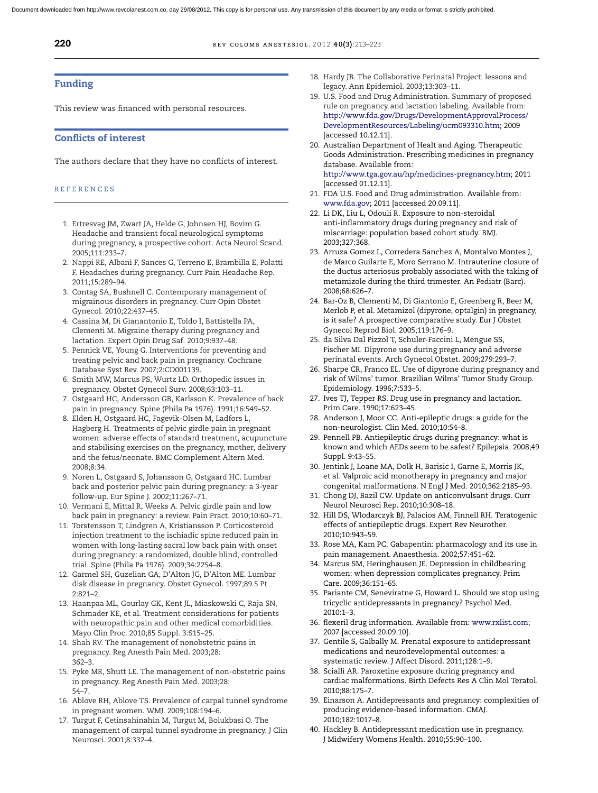<span id="page-7-0"></span>**220 REV COLOMB ANESTESIOL. 2012:40(3):213-223** 

#### **Funding**

This review was financed with personal resources.

#### **Conflicts of interest**

The authors declare that they have no conflicts of interest.

#### **REFERENCES**

- 1. Ertresvag JM, Zwart JA, Helde G, Johnsen HJ, Bovim G. Headache and transient focal neurological symptoms during pregnancy, a prospective cohort. Acta Neurol Scand. 2005;111:233–7.
- 2. Nappi RE, Albani F, Sances G, Terreno E, Brambilla E, Polatti F. Headaches during pregnancy. Curr Pain Headache Rep. 2011;15:289–94.
- 3. Contag SA, Bushnell C. Contemporary management of migrainous disorders in pregnancy. Curr Opin Obstet Gynecol. 2010;22:437–45.
- 4. Cassina M, Di Gianantonio E, Toldo I, Battistella PA, Clementi M. Migraine therapy during pregnancy and lactation. Expert Opin Drug Saf. 2010;9:937–48.
- 5. Pennick VE, Young G. Interventions for preventing and treating pelvic and back pain in pregnancy. Cochrane Database Syst Rev. 2007;2:CD001139.
- 6. Smith MW, Marcus PS, Wurtz LD. Orthopedic issues in pregnancy. Obstet Gynecol Surv. 2008;63:103–11.
- 7. Ostgaard HC, Andersson GB, Karlsson K. Prevalence of back pain in pregnancy. Spine (Phila Pa 1976). 1991;16:549–52.
- 8. Elden H, Ostgaard HC, Fagevik-Olsen M, Ladfors L, Hagberg H. Treatments of pelvic girdle pain in pregnant women: adverse effects of standard treatment, acupuncture and stabilising exercises on the pregnancy, mother, delivery and the fetus/neonate. BMC Complement Altern Med. 2008;8:34.
- 9. Noren L, Ostgaard S, Johansson G, Ostgaard HC. Lumbar back and posterior pelvic pain during pregnancy: a 3-year follow-up. Eur Spine J. 2002;11:267–71.
- 10. Vermani E, Mittal R, Weeks A. Pelvic girdle pain and low back pain in pregnancy: a review. Pain Pract. 2010;10:60–71.
- 11. Torstensson T, Lindgren A, Kristiansson P. Corticosteroid injection treatment to the ischiadic spine reduced pain in women with long-lasting sacral low back pain with onset during pregnancy: a randomized, double blind, controlled trial. Spine (Phila Pa 1976). 2009;34:2254–8.
- 12. Garmel SH, Guzelian GA, D'Alton JG, D'Alton ME. Lumbar disk disease in pregnancy. Obstet Gynecol. 1997;89 5 Pt 2:821–2.
- 13. Haanpaa ML, Gourlay GK, Kent JL, Miaskowski C, Raja SN, Schmader KE, et al. Treatment considerations for patients with neuropathic pain and other medical comorbidities. Mayo Clin Proc. 2010;85 Suppl. 3:S15–25.
- 14. Shah RV. The management of nonobstetric pains in pregnancy. Reg Anesth Pain Med. 2003;28: 362–3.
- 15. Pyke MR, Shutt LE. The management of non-obstetric pains in pregnancy. Reg Anesth Pain Med. 2003;28: 54–7.
- 16. Ablove RH, Ablove TS. Prevalence of carpal tunnel syndrome in pregnant women. WMJ. 2009;108:194–6.
- 17. Turgut F, Cetinsahinahin M, Turgut M, Bolukbasi O. The management of carpal tunnel syndrome in pregnancy. J Clin Neurosci. 2001;8:332–4.
- 18. Hardy JB. The Collaborative Perinatal Project: lessons and legacy. Ann Epidemiol. 2003;13:303–11.
- 19. U.S. Food and Drug Administration. Summary of proposed rule on pregnancy and lactation labeling. Available from: [http://www.fda.gov/Drugs/DevelopmentApprovalProcess/](http://www.fda.gov/Drugs/DevelopmentApprovalProcess/DevelopmentResources/Labeling/ucm093310.htm) [DevelopmentResources/Labeling/ucm093310.htm](http://www.fda.gov/Drugs/DevelopmentApprovalProcess/DevelopmentResources/Labeling/ucm093310.htm); 2009 [accessed 10.12.11].
- 20. Australian Department of Healt and Aging. Therapeutic Goods Administration. Prescribing medicines in pregnancy database. Available from: <http://www.tga.gov.au/hp/medicines-pregnancy.htm>; 2011 [accessed 01.12.11].
- 21. FDA U.S. Food and Drug administration. Available from: [www.fda.gov;](http://www.fda.gov/) 2011 [accessed 20.09.11].
- 22. Li DK, Liu L, Odouli R. Exposure to non-steroidal anti-inflammatory drugs during pregnancy and risk of miscarriage: population based cohort study. BMJ. 2003;327:368.
- 23. Arruza Gomez L, Corredera Sanchez A, Montalvo Montes J, de Marco Guilarte E, Moro Serrano M. Intrauterine closure of the ductus arteriosus probably associated with the taking of metamizole during the third trimester. An Pediatr (Barc). 2008;68:626–7.
- 24. Bar-Oz B, Clementi M, Di Giantonio E, Greenberg R, Beer M, Merlob P, et al. Metamizol (dipyrone, optalgin) in pregnancy, is it safe? A prospective comparative study. Eur J Obstet Gynecol Reprod Biol. 2005;119:176–9.
- 25. da Silva Dal Pizzol T, Schuler-Faccini L, Mengue SS, Fischer MI. Dipyrone use during pregnancy and adverse perinatal events. Arch Gynecol Obstet. 2009;279:293–7.
- 26. Sharpe CR, Franco EL. Use of dipyrone during pregnancy and risk of Wilms' tumor. Brazilian Wilms' Tumor Study Group. Epidemiology. 1996;7:533–5.
- 27. Ives TJ, Tepper RS. Drug use in pregnancy and lactation. Prim Care. 1990;17:623–45.
- 28. Anderson J, Moor CC. Anti-epileptic drugs: a guide for the non-neurologist. Clin Med. 2010;10:54–8.
- 29. Pennell PB. Antiepileptic drugs during pregnancy: what is known and which AEDs seem to be safest? Epilepsia. 2008;49 Suppl. 9:43–55.
- 30. Jentink J, Loane MA, Dolk H, Barisic I, Garne E, Morris JK, et al. Valproic acid monotherapy in pregnancy and major congenital malformations. N Engl J Med. 2010;362:2185–93.
- 31. Chong DJ, Bazil CW. Update on anticonvulsant drugs. Curr Neurol Neurosci Rep. 2010;10:308–18.
- 32. Hill DS, Wlodarczyk BJ, Palacios AM, Finnell RH. Teratogenic effects of antiepileptic drugs. Expert Rev Neurother. 2010;10:943–59.
- 33. Rose MA, Kam PC. Gabapentin: pharmacology and its use in pain management. Anaesthesia. 2002;57:451–62.
- 34. Marcus SM, Heringhausen JE. Depression in childbearing women: when depression complicates pregnancy. Prim Care. 2009;36:151–65.
- 35. Pariante CM, Seneviratne G, Howard L. Should we stop using tricyclic antidepressants in pregnancy? Psychol Med. 2010:1–3.
- 36. flexeril drug information. Available from: [www.rxlist.com](http://www.rxlist.com/); 2007 [accessed 20.09.10].
- 37. Gentile S, Galbally M. Prenatal exposure to antidepressant medications and neurodevelopmental outcomes: a systematic review. J Affect Disord. 2011;128:1–9.
- 38. Scialli AR. Paroxetine exposure during pregnancy and cardiac malformations. Birth Defects Res A Clin Mol Teratol. 2010;88:175–7.
- 39. Einarson A. Antidepressants and pregnancy: complexities of producing evidence-based information. CMAJ. 2010;182:1017–8.
- 40. Hackley B. Antidepressant medication use in pregnancy. J Midwifery Womens Health. 2010;55:90–100.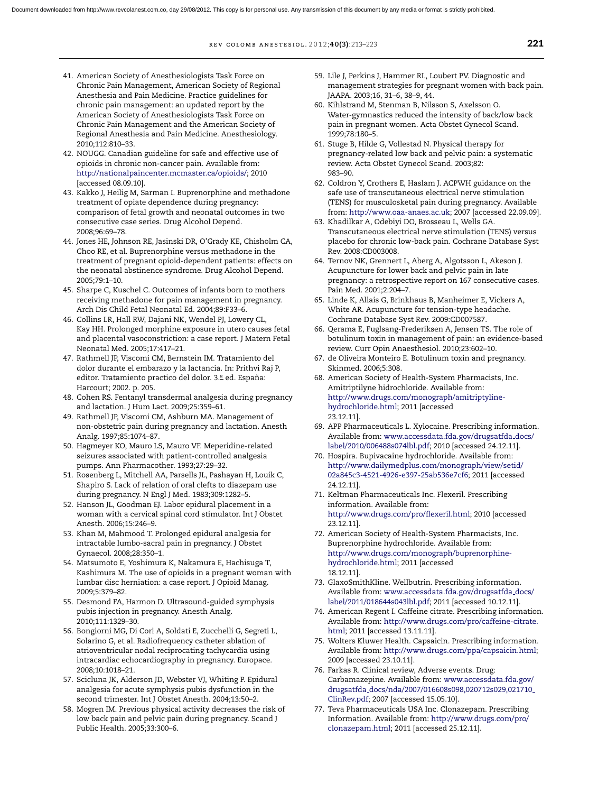r ev colomb ane s t e s iol . 2 0 1 2;**40(3)**:213–223 **221**

- <span id="page-8-0"></span>41. American Society of Anesthesiologists Task Force on Chronic Pain Management, American Society of Regional Anesthesia and Pain Medicine. Practice guidelines for chronic pain management: an updated report by the American Society of Anesthesiologists Task Force on Chronic Pain Management and the American Society of Regional Anesthesia and Pain Medicine. Anesthesiology. 2010;112:810–33.
- 42. NOUGG. Canadian guideline for safe and effective use of opioids in chronic non-cancer pain. Available from: <http://nationalpaincenter.mcmaster.ca/opioids/>; 2010 [accessed 08.09.10].
- 43. Kakko J, Heilig M, Sarman I. Buprenorphine and methadone treatment of opiate dependence during pregnancy: comparison of fetal growth and neonatal outcomes in two consecutive case series. Drug Alcohol Depend. 2008;96:69–78.
- 44. Jones HE, Johnson RE, Jasinski DR, O'Grady KE, Chisholm CA, Choo RE, et al. Buprenorphine versus methadone in the treatment of pregnant opioid-dependent patients: effects on the neonatal abstinence syndrome. Drug Alcohol Depend. 2005;79:1–10.
- 45. Sharpe C, Kuschel C. Outcomes of infants born to mothers receiving methadone for pain management in pregnancy. Arch Dis Child Fetal Neonatal Ed. 2004;89:F33–6.
- 46. Collins LR, Hall RW, Dajani NK, Wendel PJ, Lowery CL, Kay HH. Prolonged morphine exposure in utero causes fetal and placental vasoconstriction: a case report. J Matern Fetal Neonatal Med. 2005;17:417–21.
- 47. Rathmell JP, Viscomi CM, Bernstein IM. Tratamiento del dolor durante el embarazo y la lactancia. In: Prithvi Raj P, editor. Tratamiento practico del dolor. 3.ª ed. España: Harcourt; 2002. p. 205.
- 48. Cohen RS. Fentanyl transdermal analgesia during pregnancy and lactation. J Hum Lact. 2009;25:359–61.
- 49. Rathmell JP, Viscomi CM, Ashburn MA. Management of non-obstetric pain during pregnancy and lactation. Anesth Analg. 1997;85:1074–87.
- 50. Hagmeyer KO, Mauro LS, Mauro VF. Meperidine-related seizures associated with patient-controlled analgesia pumps. Ann Pharmacother. 1993;27:29–32.
- 51. Rosenberg L, Mitchell AA, Parsells JL, Pashayan H, Louik C, Shapiro S. Lack of relation of oral clefts to diazepam use during pregnancy. N Engl J Med. 1983;309:1282–5.
- 52. Hanson JL, Goodman EJ. Labor epidural placement in a woman with a cervical spinal cord stimulator. Int J Obstet Anesth. 2006;15:246–9.
- 53. Khan M, Mahmood T. Prolonged epidural analgesia for intractable lumbo-sacral pain in pregnancy. J Obstet Gynaecol. 2008;28:350–1.
- 54. Matsumoto E, Yoshimura K, Nakamura E, Hachisuga T, Kashimura M. The use of opioids in a pregnant woman with lumbar disc herniation: a case report. J Opioid Manag. 2009;5:379–82.
- 55. Desmond FA, Harmon D. Ultrasound-guided symphysis pubis injection in pregnancy. Anesth Analg. 2010;111:1329–30.
- 56. Bongiorni MG, Di Cori A, Soldati E, Zucchelli G, Segreti L, Solarino G, et al. Radiofrequency catheter ablation of atrioventricular nodal reciprocating tachycardia using intracardiac echocardiography in pregnancy. Europace. 2008;10:1018–21.
- 57. Scicluna JK, Alderson JD, Webster VJ, Whiting P. Epidural analgesia for acute symphysis pubis dysfunction in the second trimester. Int J Obstet Anesth. 2004;13:50–2.
- 58. Mogren IM. Previous physical activity decreases the risk of low back pain and pelvic pain during pregnancy. Scand J Public Health. 2005;33:300–6.
- 59. Lile J, Perkins J, Hammer RL, Loubert PV. Diagnostic and management strategies for pregnant women with back pain. JAAPA. 2003;16, 31–6, 38–9, 44.
- 60. Kihlstrand M, Stenman B, Nilsson S, Axelsson O. Water-gymnastics reduced the intensity of back/low back pain in pregnant women. Acta Obstet Gynecol Scand. 1999;78:180–5.
- 61. Stuge B, Hilde G, Vollestad N. Physical therapy for pregnancy-related low back and pelvic pain: a systematic review. Acta Obstet Gynecol Scand. 2003;82: 983–90.
- 62. Coldron Y, Crothers E, Haslam J. ACPWH guidance on the safe use of transcutaneous electrical nerve stimulation (TENS) for musculosketal pain during pregnancy. Available from: [http://www.oaa-anaes.ac.uk](http://www.oaa-anaes.ac.uk/); 2007 [accessed 22.09.09].
- 63. Khadilkar A, Odebiyi DO, Brosseau L, Wells GA. Transcutaneous electrical nerve stimulation (TENS) versus placebo for chronic low-back pain. Cochrane Database Syst Rev. 2008:CD003008.
- 64. Ternov NK, Grennert L, Aberg A, Algotsson L, Akeson J. Acupuncture for lower back and pelvic pain in late pregnancy: a retrospective report on 167 consecutive cases. Pain Med. 2001;2:204–7.
- 65. Linde K, Allais G, Brinkhaus B, Manheimer E, Vickers A, White AR. Acupuncture for tension-type headache. Cochrane Database Syst Rev. 2009:CD007587.
- 66. Qerama E, Fuglsang-Frederiksen A, Jensen TS. The role of botulinum toxin in management of pain: an evidence-based review. Curr Opin Anaesthesiol. 2010;23:602–10.
- 67. de Oliveira Monteiro E. Botulinum toxin and pregnancy. Skinmed. 2006;5:308.
- 68. American Society of Health-System Pharmacists, Inc. Amitriptilyne hidrochloride. Available from: [http://www.drugs.com/monograph/amitriptyline](http://www.drugs.com/monograph/amitriptyline-hydrochloride.html)hydrochloride.html; 2011 [accessed 23.12.11].
- 69. APP Pharmaceuticals L. Xylocaine. Prescribing information. Available from: [www.accessdata.fda.gov/drugsatfda](http://www.accessdata.fda.gov/drugsatfda_docs/label/2010/006488s074lbl.pdf) docs/ [label/2010/006488s074lbl.pdf](http://www.accessdata.fda.gov/drugsatfda_docs/label/2010/006488s074lbl.pdf); 2010 [accessed 24.12.11].
- 70. Hospira. Bupivacaine hydrochloride. Available from: [http://www.dailymedplus.com/monograph/view/setid/](http://www.dailymedplus.com/monograph/view/setid/02a845c3-4521-4926-e397-25ab536e7cf6) [02a845c3-4521-4926-e397-25ab536e7cf6;](http://www.dailymedplus.com/monograph/view/setid/02a845c3-4521-4926-e397-25ab536e7cf6) 2011 [accessed 24.12.11].
- 71. Keltman Pharmaceuticals Inc. Flexeril. Prescribing information. Available from: [http://www.drugs.com/pro/flexeril.html;](http://www.drugs.com/pro/flexeril.html) 2010 [accessed 23.12.11].
- 72. American Society of Health-System Pharmacists, Inc. Buprenorphine hydrochloride. Available from: [http://www.drugs.com/monograph/buprenorphine](http://www.drugs.com/monograph/buprenorphine-hydrochloride.html)hydrochloride.html; 2011 [accessed 18.12.11].
- 73. GlaxoSmithKline. Wellbutrin. Prescribing information. Available from: [www.accessdata.fda.gov/drugsatfda](http://www.accessdata.fda.gov/drugsatfda_docs/label/2011/018644s043lbl.pdf) docs/ [label/2011/018644s043lbl.pdf](http://www.accessdata.fda.gov/drugsatfda_docs/label/2011/018644s043lbl.pdf); 2011 [accessed 10.12.11].
- 74. American Regent I. Caffeine citrate. Prescribing information. Available from: [http://www.drugs.com/pro/caffeine-citrate.](http://www.drugs.com/pro/caffeine-citrate.html) [html;](http://www.drugs.com/pro/caffeine-citrate.html) 2011 [accessed 13.11.11].
- 75. Wolters Kluwer Health. Capsaicin. Prescribing information. Available from: <http://www.drugs.com/ppa/capsaicin.html>; 2009 [accessed 23.10.11].
- 76. Farkas R. Clinical review, Adverse events. Drug: Carbamazepine. Available from: [www.accessdata.fda.gov/](http://www.accessdata.fda.gov/drugsatfda_docs/nda/2007/016608s098,020712s029,021710_ClinRev.pdf) drugsatfda [docs/nda/2007/016608s098,020712s029,021710](http://www.accessdata.fda.gov/drugsatfda_docs/nda/2007/016608s098,020712s029,021710_ClinRev.pdf) [ClinRev.pdf](http://www.accessdata.fda.gov/drugsatfda_docs/nda/2007/016608s098,020712s029,021710_ClinRev.pdf); 2007 [accessed 15.05.10].
- 77. Teva Pharmaceuticals USA Inc. Clonazepam. Prescribing Information. Available from: [http://www.drugs.com/pro/](http://www.drugs.com/pro/clonazepam.html) [clonazepam.html](http://www.drugs.com/pro/clonazepam.html); 2011 [accessed 25.12.11].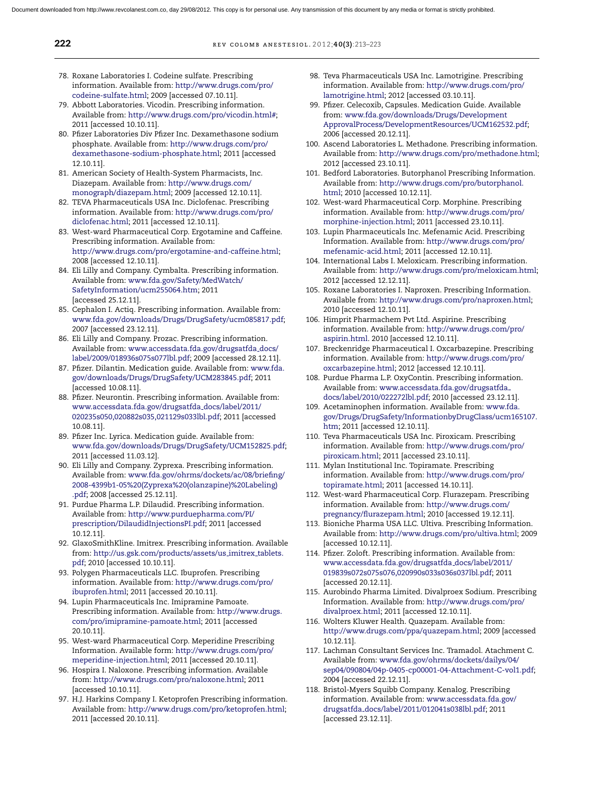**222 REV COLOMB ANESTESIOL. 2012:40(3):213-223** 

- 78. Roxane Laboratories I. Codeine sulfate. Prescribing information. Available from: [http://www.drugs.com/pro/](http://www.drugs.com/pro/codeine-sulfate.html) [codeine-sulfate.html;](http://www.drugs.com/pro/codeine-sulfate.html) 2009 [accessed 07.10.11].
- 79. Abbott Laboratories. Vicodin. Prescribing information. Available from: [http://www.drugs.com/pro/vicodin.html#;](http://www.drugs.com/pro/vicodin.html#) 2011 [accessed 10.10.11].
- 80. Pfizer Laboratories Div Pfizer Inc. Dexamethasone sodium phosphate. Available from: [http://www.drugs.com/pro/](http://www.drugs.com/pro/dexamethasone-sodium-phosphate.html) [dexamethasone-sodium-phosphate.html](http://www.drugs.com/pro/dexamethasone-sodium-phosphate.html); 2011 [accessed 12.10.11].
- 81. American Society of Health-System Pharmacists, Inc. Diazepam. Available from: [http://www.drugs.com/](http://www.drugs.com/monograph/diazepam.html) [monograph/diazepam.html](http://www.drugs.com/monograph/diazepam.html); 2009 [accessed 12.10.11].
- 82. TEVA Pharmaceuticals USA Inc. Diclofenac. Prescribing information. Available from: [http://www.drugs.com/pro/](http://www.drugs.com/pro/diclofenac.html) [diclofenac.html;](http://www.drugs.com/pro/diclofenac.html) 2011 [accessed 12.10.11].
- 83. West-ward Pharmaceutical Corp. Ergotamine and Caffeine. Prescribing information. Available from: [http://www.drugs.com/pro/ergotamine-and-caffeine.html;](http://www.drugs.com/pro/ergotamine-and-caffeine.html) 2008 [accessed 12.10.11].
- 84. Eli Lilly and Company. Cymbalta. Prescribing information. Available from: [www.fda.gov/Safety/MedWatch/](http://www.fda.gov/Safety/MedWatch/SafetyInformation/ucm255064.htm) [SafetyInformation/ucm255064.htm;](http://www.fda.gov/Safety/MedWatch/SafetyInformation/ucm255064.htm) 2011 [accessed 25.12.11].
- 85. Cephalon I. Actiq. Prescribing information. Available from: [www.fda.gov/downloads/Drugs/DrugSafety/ucm085817.pdf;](http://www.fda.gov/downloads/Drugs/DrugSafety/ucm085817.pdf) 2007 [accessed 23.12.11].
- 86. Eli Lilly and Company. Prozac. Prescribing information. Available from: [www.accessdata.fda.gov/drugsatfda](http://www.accessdata.fda.gov/drugsatfda_docs/label/2009/018936s075s077lbl.pdf) docs/ [label/2009/018936s075s077lbl.pdf;](http://www.accessdata.fda.gov/drugsatfda_docs/label/2009/018936s075s077lbl.pdf) 2009 [accessed 28.12.11].
- 87. Pfizer. Dilantin. Medication guide. Available from: [www.fda.](http://www.fda.gov/downloads/Drugs/DrugSafety/UCM283845.pdf) [gov/downloads/Drugs/DrugSafety/UCM283845.pdf](http://www.fda.gov/downloads/Drugs/DrugSafety/UCM283845.pdf); 2011 [accessed 10.08.11].
- 88. Pfizer. Neurontin. Prescribing information. Available from: [www.accessdata.fda.gov/drugsatfda](http://www.accessdata.fda.gov/drugsatfda_docs/label/2011/020235s050,020882s035,021129s033lbl.pdf) docs/label/2011/ [020235s050,020882s035,021129s033lbl.pdf](http://www.accessdata.fda.gov/drugsatfda_docs/label/2011/020235s050,020882s035,021129s033lbl.pdf); 2011 [accessed 10.08.11].
- 89. Pfizer Inc. Lyrica. Medication guide. Available from: [www.fda.gov/downloads/Drugs/DrugSafety/UCM152825.pdf](http://www.fda.gov/downloads/Drugs/DrugSafety/UCM152825.pdf); 2011 [accessed 11.03.12].
- 90. Eli Lilly and Company. Zyprexa. Prescribing information. Available from: [www.fda.gov/ohrms/dockets/ac/08/briefing/](http://www.fda.gov/ohrms/dockets/ac/08/briefing/2008-4399b1-05 (Zyprexa (olanzapine) Labeling).pdf) [2008-4399b1-05%20\(Zyprexa%20\(olanzapine\)%20Labeling\)](http://www.fda.gov/ohrms/dockets/ac/08/briefing/2008-4399b1-05 (Zyprexa (olanzapine) Labeling).pdf) [.pdf;](http://www.fda.gov/ohrms/dockets/ac/08/briefing/2008-4399b1-05 (Zyprexa (olanzapine) Labeling).pdf) 2008 [accessed 25.12.11].
- 91. Purdue Pharma L.P. Dilaudid. Prescribing information. Available from: [http://www.purduepharma.com/PI/](http://www.purduepharma.com/PI/prescription/DilaudidInjectionsPI.pdf) [prescription/DilaudidInjectionsPI.pdf](http://www.purduepharma.com/PI/prescription/DilaudidInjectionsPI.pdf); 2011 [accessed 10.12.11].
- 92. GlaxoSmithKline. Imitrex. Prescribing information. Available from: [http://us.gsk.com/products/assets/us](http://us.gsk.com/products/assets/us_imitrex_tablets.pdf) imitrex tablets. [pdf;](http://us.gsk.com/products/assets/us_imitrex_tablets.pdf) 2010 [accessed 10.10.11].
- 93. Polygen Pharmaceuticals LLC. Ibuprofen. Prescribing information. Available from: [http://www.drugs.com/pro/](http://www.drugs.com/pro/ibuprofen.html) [ibuprofen.html;](http://www.drugs.com/pro/ibuprofen.html) 2011 [accessed 20.10.11].
- 94. Lupin Pharmaceuticals Inc. Imipramine Pamoate. Prescribing information. Available from: [http://www.drugs.](http://www.drugs.com/pro/imipramine-pamoate.html) [com/pro/imipramine-pamoate.html](http://www.drugs.com/pro/imipramine-pamoate.html); 2011 [accessed 20.10.11].
- 95. West-ward Pharmaceutical Corp. Meperidine Prescribing Information. Available form: [http://www.drugs.com/pro/](http://www.drugs.com/pro/meperidine-injection.html) [meperidine-injection.html;](http://www.drugs.com/pro/meperidine-injection.html) 2011 [accessed 20.10.11].
- 96. Hospira I. Naloxone. Prescribing information. Available from: <http://www.drugs.com/pro/naloxone.html>; 2011 [accessed 10.10.11].
- 97. H.J. Harkins Company I. Ketoprofen Prescribing information. Available from: [http://www.drugs.com/pro/ketoprofen.html;](http://www.drugs.com/pro/ketoprofen.html) 2011 [accessed 20.10.11].
- 98. Teva Pharmaceuticals USA Inc. Lamotrigine. Prescribing information. Available from: [http://www.drugs.com/pro/](http://www.drugs.com/pro/lamotrigine.html) [lamotrigine.html;](http://www.drugs.com/pro/lamotrigine.html) 2012 [accessed 03.10.11].
- 99. Pfizer. Celecoxib, Capsules. Medication Guide. Available from: [www.fda.gov/downloads/Drugs/Development](http://www.fda.gov/downloads/Drugs/DevelopmentApprovalProcess/DevelopmentResources/UCM162532.pdf) [ApprovalProcess/DevelopmentResources/UCM162532.pdf](http://www.fda.gov/downloads/Drugs/DevelopmentApprovalProcess/DevelopmentResources/UCM162532.pdf); 2006 [accessed 20.12.11].
- 100. Ascend Laboratories L. Methadone. Prescribing information. Available from: <http://www.drugs.com/pro/methadone.html>; 2012 [accessed 23.10.11].
- 101. Bedford Laboratories. Butorphanol Prescribing Information. Available from: [http://www.drugs.com/pro/butorphanol.](http://www.drugs.com/pro/butorphanol.html) [html](http://www.drugs.com/pro/butorphanol.html); 2010 [accessed 10.12.11].
- 102. West-ward Pharmaceutical Corp. Morphine. Prescribing information. Available from: [http://www.drugs.com/pro/](http://www.drugs.com/pro/morphine-injection.html) [morphine-injection.html;](http://www.drugs.com/pro/morphine-injection.html) 2011 [accessed 23.10.11].
- 103. Lupin Pharmaceuticals Inc. Mefenamic Acid. Prescribing Information. Available from: [http://www.drugs.com/pro/](http://www.drugs.com/pro/mefenamic-acid.html) [mefenamic-acid.html;](http://www.drugs.com/pro/mefenamic-acid.html) 2011 [accessed 12.10.11].
- 104. International Labs I. Meloxicam. Prescribing information. Available from: [http://www.drugs.com/pro/meloxicam.html;](http://www.drugs.com/pro/meloxicam.html) 2012 [accessed 12.12.11].
- 105. Roxane Laboratories I. Naproxen. Prescribing Information. Available from: [http://www.drugs.com/pro/naproxen.html;](http://www.drugs.com/pro/naproxen.html) 2010 [accessed 12.10.11].
- 106. Himprit Pharmachem Pvt Ltd. Aspirine. Prescribing information. Available from: [http://www.drugs.com/pro/](http://www.drugs.com/pro/aspirin.html) [aspirin.html.](http://www.drugs.com/pro/aspirin.html) 2010 [accessed 12.10.11].
- 107. Breckenridge Pharmaceutical I. Oxcarbazepine. Prescribing information. Available from: [http://www.drugs.com/pro/](http://www.drugs.com/pro/oxcarbazepine.html) [oxcarbazepine.html](http://www.drugs.com/pro/oxcarbazepine.html); 2012 [accessed 12.10.11].
- 108. Purdue Pharma L.P. OxyContin. Prescribing information. Available from: [www.accessdata.fda.gov/drugsatfda](http://www.accessdata.fda.gov/drugsatfda_docs/label/2010/022272lbl.pdf) [docs/label/2010/022272lbl.pdf;](http://www.accessdata.fda.gov/drugsatfda_docs/label/2010/022272lbl.pdf) 2010 [accessed 23.12.11].
- 109. Acetaminophen information. Available from: [www.fda.](http://www.fda.gov/Drugs/DrugSafety/InformationbyDrugClass/ucm165107.htm) [gov/Drugs/DrugSafety/InformationbyDrugClass/ucm165107.](http://www.fda.gov/Drugs/DrugSafety/InformationbyDrugClass/ucm165107.htm) [htm;](http://www.fda.gov/Drugs/DrugSafety/InformationbyDrugClass/ucm165107.htm) 2011 [accessed 12.10.11].
- 110. Teva Pharmaceuticals USA Inc. Piroxicam. Prescribing information. Available from: [http://www.drugs.com/pro/](http://www.drugs.com/pro/piroxicam.html) [piroxicam.html](http://www.drugs.com/pro/piroxicam.html); 2011 [accessed 23.10.11].
- 111. Mylan Institutional Inc. Topiramate. Prescribing information. Available from: [http://www.drugs.com/pro/](http://www.drugs.com/pro/topiramate.html) [topiramate.html;](http://www.drugs.com/pro/topiramate.html) 2011 [accessed 14.10.11].
- 112. West-ward Pharmaceutical Corp. Flurazepam. Prescribing information. Available from: [http://www.drugs.com/](http://www.drugs.com/pregnancy/flurazepam.html) [pregnancy/flurazepam.html;](http://www.drugs.com/pregnancy/flurazepam.html) 2010 [accessed 19.12.11].
- 113. Bioniche Pharma USA LLC. Ultiva. Prescribing Information. Available from: [http://www.drugs.com/pro/ultiva.html;](http://www.drugs.com/pro/ultiva.html) 2009 [accessed 10.12.11].
- 114. Pfizer. Zoloft. Prescribing information. Available from: [www.accessdata.fda.gov/drugsatfda](http://www.accessdata.fda.gov/drugsatfda_docs/label/2011/019839s072s075s076,020990s033s036s037lbl.pdf) docs/label/2011/ [019839s072s075s076,020990s033s036s037lbl.pdf;](http://www.accessdata.fda.gov/drugsatfda_docs/label/2011/019839s072s075s076,020990s033s036s037lbl.pdf) 2011 [accessed 20.12.11].
- 115. Aurobindo Pharma Limited. Divalproex Sodium. Prescribing Information. Available from: [http://www.drugs.com/pro/](http://www.drugs.com/pro/divalproex.html) [divalproex.html;](http://www.drugs.com/pro/divalproex.html) 2011 [accessed 12.10.11].
- 116. Wolters Kluwer Health. Quazepam. Available from: <http://www.drugs.com/ppa/quazepam.html>; 2009 [accessed 10.12.11].
- 117. Lachman Consultant Services Inc. Tramadol. Atachment C. Available from: [www.fda.gov/ohrms/dockets/dailys/04/](http://www.fda.gov/ohrms/dockets/dailys/04/sep04/090804/04p-0405-cp00001-04-Attachment-C-vol1.pdf) [sep04/090804/04p-0405-cp00001-04-Attachment-C-vol1.pdf;](http://www.fda.gov/ohrms/dockets/dailys/04/sep04/090804/04p-0405-cp00001-04-Attachment-C-vol1.pdf) 2004 [accessed 22.12.11].
- 118. Bristol-Myers Squibb Company. Kenalog. Prescribing information. Available from: [www.accessdata.fda.gov/](http://www.accessdata.fda.gov/drugsatfda_docs/label/2011/012041s038lbl.pdf) drugsatfda [docs/label/2011/012041s038lbl.pdf](http://www.accessdata.fda.gov/drugsatfda_docs/label/2011/012041s038lbl.pdf); 2011 [accessed 23.12.11].

<span id="page-9-0"></span>